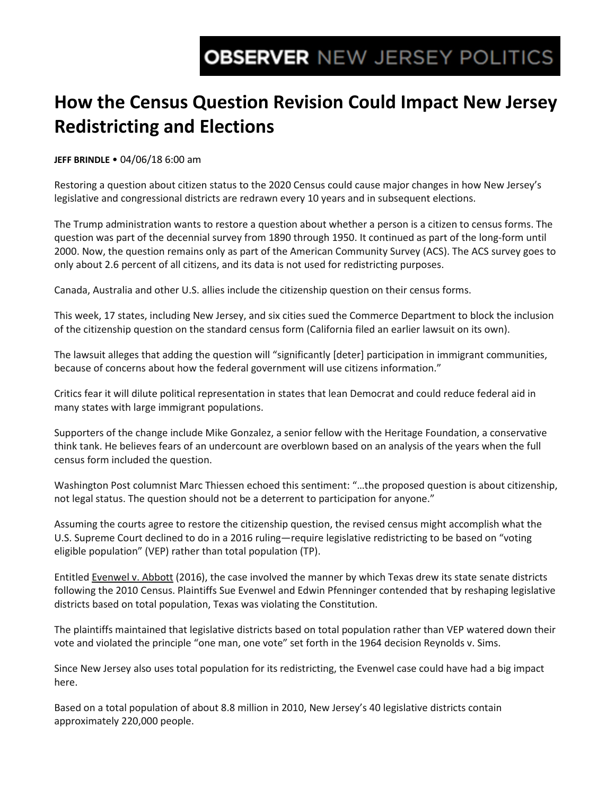## **How the Census Question Revision Could Impact New Jersey Redistricting and Elections**

**JEFF BRINDLE** • 04/06/18 6:00 am

Restoring a question about citizen status to the 2020 Census could cause major changes in how New Jersey's legislative and congressional districts are redrawn every 10 years and in subsequent elections.

The Trump administration wants to restore a question about whether a person is a citizen to census forms. The question was part of the decennial survey from 1890 through 1950. It continued as part of the long-form until 2000. Now, the question remains only as part of the American Community Survey (ACS). The ACS survey goes to only about 2.6 percent of all citizens, and its data is not used for redistricting purposes.

Canada, Australia and other U.S. allies include the citizenship question on their census forms.

This week, 17 states, including New Jersey, and six cities sued the Commerce Department to block the inclusion of the citizenship question on the standard census form (California filed an earlier lawsuit on its own).

The lawsuit alleges that adding the question will "significantly [deter] participation in immigrant communities, because of concerns about how the federal government will use citizens information."

Critics fear it will dilute political representation in states that lean Democrat and could reduce federal aid in many states with large immigrant populations.

Supporters of the change include Mike Gonzalez, a senior fellow with the Heritage Foundation, a conservative think tank. He believes fears of an undercount are overblown based on an analysis of the years when the full census form included the question.

Washington Post columnist Marc Thiessen echoed this sentiment: "…the proposed question is about citizenship, not legal status. The question should not be a deterrent to participation for anyone."

Assuming the courts agree to restore the citizenship question, the revised census might accomplish what the U.S. Supreme Court declined to do in a 2016 ruling—require legislative redistricting to be based on "voting eligible population" (VEP) rather than total population (TP).

Entitled Evenwel v. Abbott (2016), the case involved the manner by which Texas drew its state senate districts following the 2010 Census. Plaintiffs Sue Evenwel and Edwin Pfenninger contended that by reshaping legislative districts based on total population, Texas was violating the Constitution.

The plaintiffs maintained that legislative districts based on total population rather than VEP watered down their vote and violated the principle "one man, one vote" set forth in the 1964 decision Reynolds v. Sims.

Since New Jersey also uses total population for its redistricting, the Evenwel case could have had a big impact here.

Based on a total population of about 8.8 million in 2010, New Jersey's 40 legislative districts contain approximately 220,000 people.